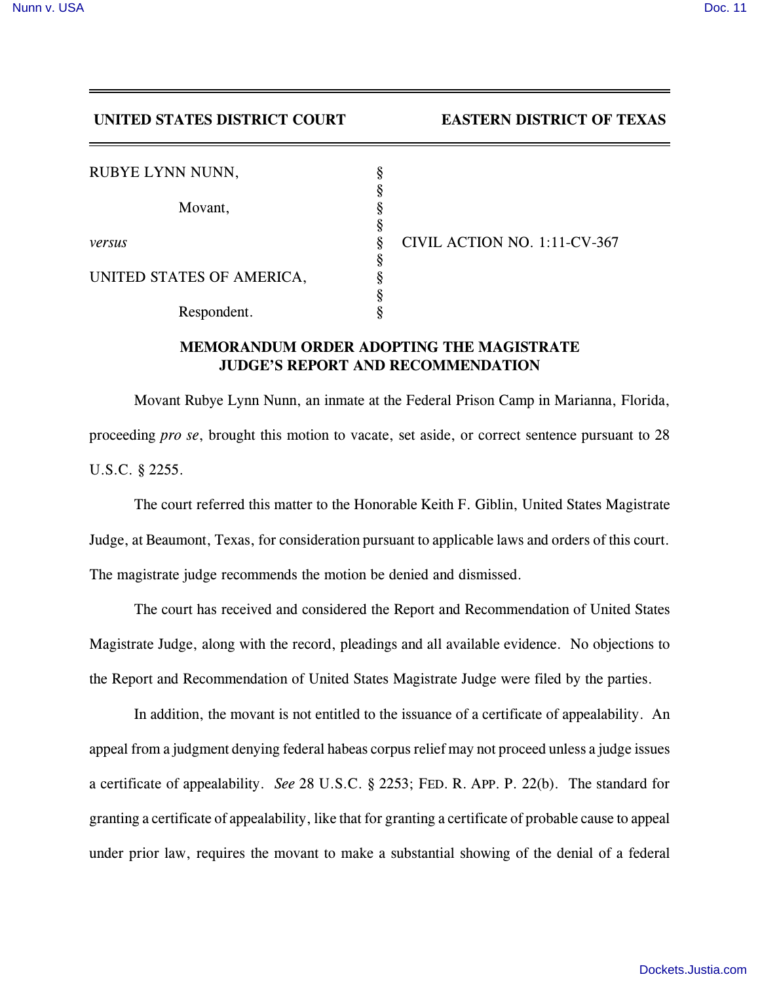## **UNITED STATES DISTRICT COURT EASTERN DISTRICT OF TEXAS**

| RUBYE LYNN NUNN,          | O |                              |
|---------------------------|---|------------------------------|
| Movant,                   |   |                              |
|                           | O |                              |
| versus                    | Ò | CIVIL ACTION NO. 1:11-CV-367 |
|                           | O |                              |
| UNITED STATES OF AMERICA, |   |                              |
|                           |   |                              |
| Respondent.               |   |                              |

## **MEMORANDUM ORDER ADOPTING THE MAGISTRATE JUDGE'S REPORT AND RECOMMENDATION**

Movant Rubye Lynn Nunn, an inmate at the Federal Prison Camp in Marianna, Florida, proceeding *pro se*, brought this motion to vacate, set aside, or correct sentence pursuant to 28 U.S.C. § 2255.

The court referred this matter to the Honorable Keith F. Giblin, United States Magistrate Judge, at Beaumont, Texas, for consideration pursuant to applicable laws and orders of this court. The magistrate judge recommends the motion be denied and dismissed.

The court has received and considered the Report and Recommendation of United States Magistrate Judge, along with the record, pleadings and all available evidence. No objections to the Report and Recommendation of United States Magistrate Judge were filed by the parties.

In addition, the movant is not entitled to the issuance of a certificate of appealability. An appeal from a judgment denying federal habeas corpus relief may not proceed unless a judge issues a certificate of appealability. *See* 28 U.S.C. § 2253; FED. R. APP. P. 22(b). The standard for granting a certificate of appealability, like that for granting a certificate of probable cause to appeal under prior law, requires the movant to make a substantial showing of the denial of a federal